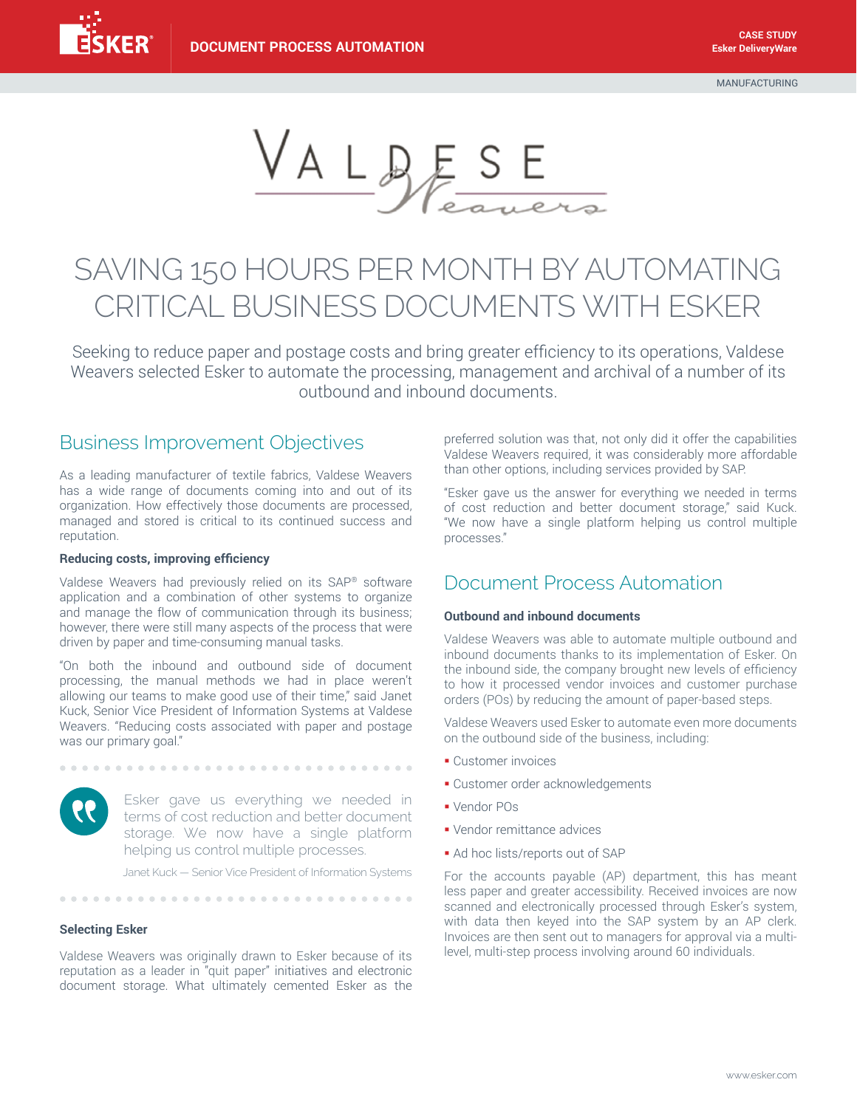VALDESE

# SAVING 150 HOURS PER MONTH BY AUTOMATING CRITICAL BUSINESS DOCUMENTS WITH ESKER

Seeking to reduce paper and postage costs and bring greater efficiency to its operations, Valdese Weavers selected Esker to automate the processing, management and archival of a number of its outbound and inbound documents.

### Business Improvement Objectives

As a leading manufacturer of textile fabrics, Valdese Weavers has a wide range of documents coming into and out of its organization. How effectively those documents are processed, managed and stored is critical to its continued success and reputation.

#### **Reducing costs, improving efficiency**

Valdese Weavers had previously relied on its SAP® software application and a combination of other systems to organize and manage the flow of communication through its business; however, there were still many aspects of the process that were driven by paper and time-consuming manual tasks.

"On both the inbound and outbound side of document processing, the manual methods we had in place weren't allowing our teams to make good use of their time," said Janet Kuck, Senior Vice President of Information Systems at Valdese Weavers. "Reducing costs associated with paper and postage was our primary goal."

> Esker gave us everything we needed in terms of cost reduction and better document storage. We now have a single platform helping us control multiple processes.

Janet Kuck — Senior Vice President of Information Systems

### **Selecting Esker**

Valdese Weavers was originally drawn to Esker because of its reputation as a leader in "quit paper" initiatives and electronic document storage. What ultimately cemented Esker as the

...............................

preferred solution was that, not only did it offer the capabilities Valdese Weavers required, it was considerably more affordable than other options, including services provided by SAP.

"Esker gave us the answer for everything we needed in terms of cost reduction and better document storage," said Kuck. "We now have a single platform helping us control multiple processes."

## Document Process Automation

### **Outbound and inbound documents**

Valdese Weavers was able to automate multiple outbound and inbound documents thanks to its implementation of Esker. On the inbound side, the company brought new levels of efficiency to how it processed vendor invoices and customer purchase orders (POs) by reducing the amount of paper-based steps.

Valdese Weavers used Esker to automate even more documents on the outbound side of the business, including:

- § Customer invoices
- **Customer order acknowledgements**
- § Vendor POs
- § Vendor remittance advices
- Ad hoc lists/reports out of SAP

For the accounts payable (AP) department, this has meant less paper and greater accessibility. Received invoices are now scanned and electronically processed through Esker's system, with data then keyed into the SAP system by an AP clerk. Invoices are then sent out to managers for approval via a multilevel, multi-step process involving around 60 individuals.